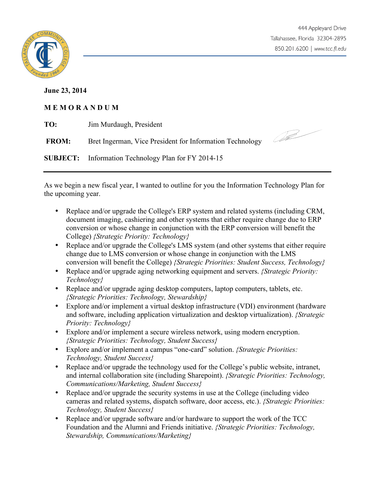

## **June 23, 2014**

## **M E M O R A N D U M**

| TO:          | Jim Murdaugh, President                                    |  |
|--------------|------------------------------------------------------------|--|
| <b>FROM:</b> | Bret Ingerman, Vice President for Information Technology   |  |
|              | <b>SUBJECT:</b> Information Technology Plan for FY 2014-15 |  |

As we begin a new fiscal year, I wanted to outline for you the Information Technology Plan for the upcoming year.

- Replace and/or upgrade the College's ERP system and related systems (including CRM, document imaging, cashiering and other systems that either require change due to ERP conversion or whose change in conjunction with the ERP conversion will benefit the College) *{Strategic Priority: Technology}*
- Replace and/or upgrade the College's LMS system (and other systems that either require change due to LMS conversion or whose change in conjunction with the LMS conversion will benefit the College) *{Strategic Priorities: Student Success, Technology}*
- Replace and/or upgrade aging networking equipment and servers. *{Strategic Priority: Technology}*
- Replace and/or upgrade aging desktop computers, laptop computers, tablets, etc. *{Strategic Priorities: Technology, Stewardship}*
- Explore and/or implement a virtual desktop infrastructure (VDI) environment (hardware and software, including application virtualization and desktop virtualization). *{Strategic Priority: Technology}*
- Explore and/or implement a secure wireless network, using modern encryption. *{Strategic Priorities: Technology, Student Success}*
- Explore and/or implement a campus "one-card" solution. *{Strategic Priorities: Technology, Student Success}*
- Replace and/or upgrade the technology used for the College's public website, intranet, and internal collaboration site (including Sharepoint). *{Strategic Priorities: Technology, Communications/Marketing, Student Success}*
- Replace and/or upgrade the security systems in use at the College (including video cameras and related systems, dispatch software, door access, etc.). *{Strategic Priorities: Technology, Student Success}*
- Replace and/or upgrade software and/or hardware to support the work of the TCC Foundation and the Alumni and Friends initiative. *{Strategic Priorities: Technology, Stewardship, Communications/Marketing}*